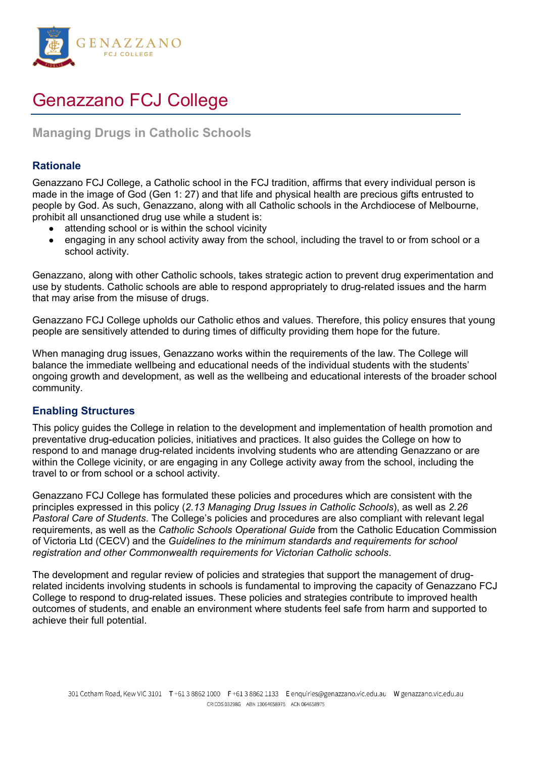

# Genazzano FCJ College

# **Managing Drugs in Catholic Schools**

# **Rationale**

Genazzano FCJ College, a Catholic school in the FCJ tradition, affirms that every individual person is made in the image of God (Gen 1: 27) and that life and physical health are precious gifts entrusted to people by God. As such, Genazzano, along with all Catholic schools in the Archdiocese of Melbourne, prohibit all unsanctioned drug use while a student is:

- attending school or is within the school vicinity
- engaging in any school activity away from the school, including the travel to or from school or a school activity.

Genazzano, along with other Catholic schools, takes strategic action to prevent drug experimentation and use by students. Catholic schools are able to respond appropriately to drug-related issues and the harm that may arise from the misuse of drugs.

Genazzano FCJ College upholds our Catholic ethos and values. Therefore, this policy ensures that young people are sensitively attended to during times of difficulty providing them hope for the future.

When managing drug issues, Genazzano works within the requirements of the law. The College will balance the immediate wellbeing and educational needs of the individual students with the students' ongoing growth and development, as well as the wellbeing and educational interests of the broader school community.

## **Enabling Structures**

This policy guides the College in relation to the development and implementation of health promotion and preventative drug-education policies, initiatives and practices. It also guides the College on how to respond to and manage drug-related incidents involving students who are attending Genazzano or are within the College vicinity, or are engaging in any College activity away from the school, including the travel to or from school or a school activity.

Genazzano FCJ College has formulated these policies and procedures which are consistent with the principles expressed in this policy (*2.13 Managing Drug Issues in Catholic Schools*), as well as *[2.26](https://www.cem.edu.au/About-Us/Policies/Pastoral-Care-of-Students.aspx)  [Pastoral Care of Students](https://www.cem.edu.au/About-Us/Policies/Pastoral-Care-of-Students.aspx)*. The College's policies and procedures are also compliant with relevant legal requirements, as well as the *[Catholic Schools Operational Guide](https://cevn.cecv.catholic.edu.au/Melb/Document-File/CSOG/Index/Catholic-Schools-Operation-Guide.pdf)* from the Catholic Education Commission of Victoria Ltd (CECV) and the *[Guidelines to the minimum standards and requirements for school](https://cevn.cecv.catholic.edu.au/Melb/Document-File/Polices-Compliance-and-Legal/VRQA/CECV-Guidelines-to-the-Min-Standards.pdf)  [registration](https://cevn.cecv.catholic.edu.au/Melb/Document-File/Polices-Compliance-and-Legal/VRQA/CECV-Guidelines-to-the-Min-Standards.pdf) and other Commonwealth requirements for Victorian Catholic schools*.

The development and regular review of policies and strategies that support the management of drugrelated incidents involving students in schools is fundamental to improving the capacity of Genazzano FCJ College to respond to drug-related issues. These policies and strategies contribute to improved health outcomes of students, and enable an environment where students feel safe from harm and supported to achieve their full potential.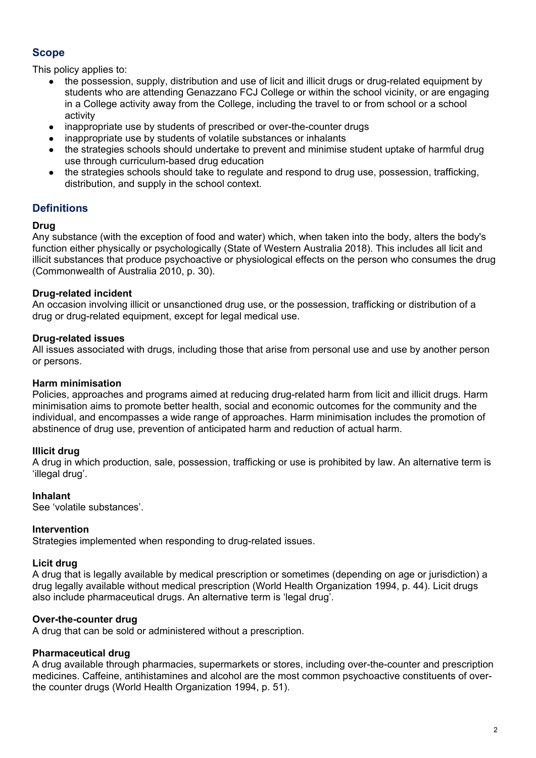# **Scope**

This policy applies to:

- the possession, supply, distribution and use of licit and illicit drugs or drug-related equipment by students who are attending Genazzano FCJ College or within the school vicinity, or are engaging in a College activity away from the College, including the travel to or from school or a school activity
- inappropriate use by students of prescribed or over-the-counter drugs
- inappropriate use by students of volatile substances or inhalants
- the strategies schools should undertake to prevent and minimise student uptake of harmful drug use through curriculum-based drug education
- the strategies schools should take to regulate and respond to drug use, possession, trafficking, distribution, and supply in the school context.

# **Definitions**

#### **Drug**

Any substance (with the exception of food and water) which, when taken into the body, alters the body's function either physically or psychologically (State of Western Australia 2018). This includes all licit and illicit substances that produce psychoactive or physiological effects on the person who consumes the drug (Commonwealth of Australia 2010, p. 30).

#### **Drug-related incident**

An occasion involving illicit or unsanctioned drug use, or the possession, trafficking or distribution of a drug or drug-related equipment, except for legal medical use.

#### **Drug-related issues**

All issues associated with drugs, including those that arise from personal use and use by another person or persons.

#### **Harm minimisation**

Policies, approaches and programs aimed at reducing drug-related harm from licit and illicit drugs. Harm minimisation aims to promote better health, social and economic outcomes for the community and the individual, and encompasses a wide range of approaches. Harm minimisation includes the promotion of abstinence of drug use, prevention of anticipated harm and reduction of actual harm.

#### **Illicit drug**

A drug in which production, sale, possession, trafficking or use is prohibited by law. An alternative term is 'illegal drug'.

#### **Inhalant**

See 'volatile substances'.

#### **Intervention**

Strategies implemented when responding to drug-related issues.

#### **Licit drug**

A drug that is legally available by medical prescription or sometimes (depending on age or jurisdiction) a drug legally available without medical prescription (World Health Organization 1994, p. 44). Licit drugs also include pharmaceutical drugs. An alternative term is 'legal drug'.

#### **Over-the-counter drug**

A drug that can be sold or administered without a prescription.

#### **Pharmaceutical drug**

A drug available through pharmacies, supermarkets or stores, including over-the-counter and prescription medicines. Caffeine, antihistamines and alcohol are the most common psychoactive constituents of overthe counter drugs (World Health Organization 1994, p. 51).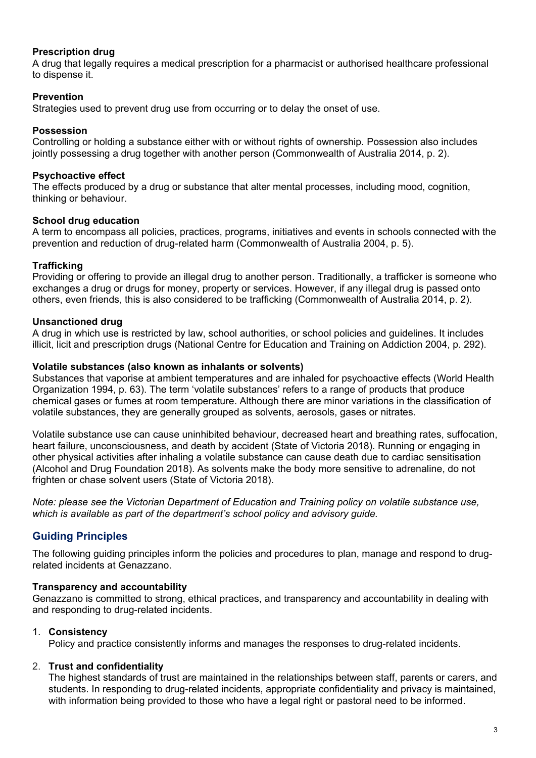## **Prescription drug**

A drug that legally requires a medical prescription for a pharmacist or authorised healthcare professional to dispense it.

#### **Prevention**

Strategies used to prevent drug use from occurring or to delay the onset of use.

#### **Possession**

Controlling or holding a substance either with or without rights of ownership. Possession also includes jointly possessing a drug together with another person (Commonwealth of Australia 2014, p. 2).

#### **Psychoactive effect**

The effects produced by a drug or substance that alter mental processes, including mood, cognition, thinking or behaviour.

#### **School drug education**

A term to encompass all policies, practices, programs, initiatives and events in schools connected with the prevention and reduction of drug-related harm (Commonwealth of Australia 2004, p. 5).

#### **Trafficking**

Providing or offering to provide an illegal drug to another person. Traditionally, a trafficker is someone who exchanges a drug or drugs for money, property or services. However, if any illegal drug is passed onto others, even friends, this is also considered to be trafficking (Commonwealth of Australia 2014, p. 2).

#### **Unsanctioned drug**

A drug in which use is restricted by law, school authorities, or school policies and guidelines. It includes illicit, licit and prescription drugs (National Centre for Education and Training on Addiction 2004, p. 292).

#### **Volatile substances (also known as inhalants or solvents)**

Substances that vaporise at ambient temperatures and are inhaled for psychoactive effects (World Health Organization 1994, p. 63). The term 'volatile substances' refers to a range of products that produce chemical gases or fumes at room temperature. Although there are minor variations in the classification of volatile substances, they are generally grouped as solvents, aerosols, gases or nitrates.

Volatile substance use can cause uninhibited behaviour, decreased heart and breathing rates, suffocation, heart failure, unconsciousness, and death by accident (State of Victoria 2018). Running or engaging in other physical activities after inhaling a volatile substance can cause death due to cardiac sensitisation (Alcohol and Drug Foundation 2018). As solvents make the body more sensitive to adrenaline, do not frighten or chase solvent users (State of Victoria 2018).

*Note: please see the Victorian Department of Education and Training policy on [volatile substance use,](https://www.education.vic.gov.au/school/principals/spag/safety/pages/substance.aspx) which is available as part of the department's school policy and advisory guide.*

## **Guiding Principles**

The following guiding principles inform the policies and procedures to plan, manage and respond to drugrelated incidents at Genazzano.

#### **Transparency and accountability**

Genazzano is committed to strong, ethical practices, and transparency and accountability in dealing with and responding to drug-related incidents.

#### 1. **Consistency**

Policy and practice consistently informs and manages the responses to drug-related incidents.

#### 2. **Trust and confidentiality**

The highest standards of trust are maintained in the relationships between staff, parents or carers, and students. In responding to drug-related incidents, appropriate confidentiality and privacy is maintained, with information being provided to those who have a legal right or pastoral need to be informed.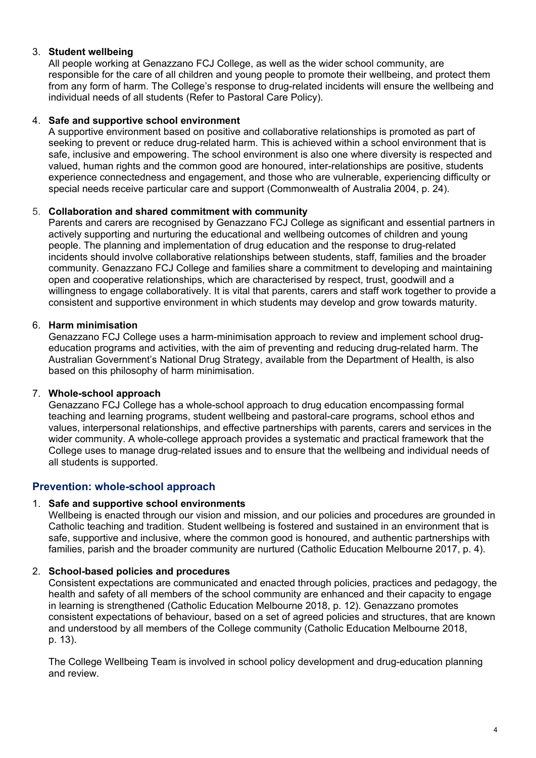## 3. **Student wellbeing**

All people working at Genazzano FCJ College, as well as the wider school community, are responsible for the care of all children and young people to promote their wellbeing, and protect them from any form of harm. The College's response to drug-related incidents will ensure the wellbeing and individual needs of all students (Refer to Pastoral Care Policy).

#### 4. **Safe and supportive school environment**

A supportive environment based on positive and collaborative relationships is promoted as part of seeking to prevent or reduce drug-related harm. This is achieved within a school environment that is safe, inclusive and empowering. The school environment is also one where diversity is respected and valued, human rights and the common good are honoured, inter-relationships are positive, students experience connectedness and engagement, and those who are vulnerable, experiencing difficulty or special needs receive particular care and support (Commonwealth of Australia 2004, p. 24).

#### 5. **Collaboration and shared commitment with community**

Parents and carers are recognised by Genazzano FCJ College as significant and essential partners in actively supporting and nurturing the educational and wellbeing outcomes of children and young people. The planning and implementation of drug education and the response to drug-related incidents should involve collaborative relationships between students, staff, families and the broader community. Genazzano FCJ College and families share a commitment to developing and maintaining open and cooperative relationships, which are characterised by respect, trust, goodwill and a willingness to engage collaboratively. It is vital that parents, carers and staff work together to provide a consistent and supportive environment in which students may develop and grow towards maturity.

#### 6. **Harm minimisation**

Genazzano FCJ College uses a harm-minimisation approach to review and implement school drugeducation programs and activities, with the aim of preventing and reducing drug-related harm. The Australian Government's [National Drug Strategy,](http://www.nationaldrugstrategy.gov.au/) available from the Department of Health, is also based on this philosophy of harm minimisation.

#### 7. **Whole-school approach**

Genazzano FCJ College has a whole-school approach to drug education encompassing formal teaching and learning programs, student wellbeing and pastoral-care programs, school ethos and values, interpersonal relationships, and effective partnerships with parents, carers and services in the wider community. A whole-college approach provides a systematic and practical framework that the College uses to manage drug-related issues and to ensure that the wellbeing and individual needs of all students is supported.

## **Prevention: whole-school approach**

#### 1. **Safe and supportive school environments**

Wellbeing is enacted through our vision and mission, and our policies and procedures are grounded in Catholic teaching and tradition. Student wellbeing is fostered and sustained in an environment that is safe, supportive and inclusive, where the common good is honoured, and authentic partnerships with families, parish and the broader community are nurtured (Catholic Education Melbourne 2017, p. 4).

## 2. **School-based policies and procedures**

Consistent expectations are communicated and enacted through policies, practices and pedagogy, the health and safety of all members of the school community are enhanced and their capacity to engage in learning is strengthened (Catholic Education Melbourne 2018, p. 12). Genazzano promotes consistent expectations of behaviour, based on a set of agreed policies and structures, that are known and understood by all members of the College community (Catholic Education Melbourne 2018, p. 13).

The College Wellbeing Team is involved in school policy development and drug-education planning and review.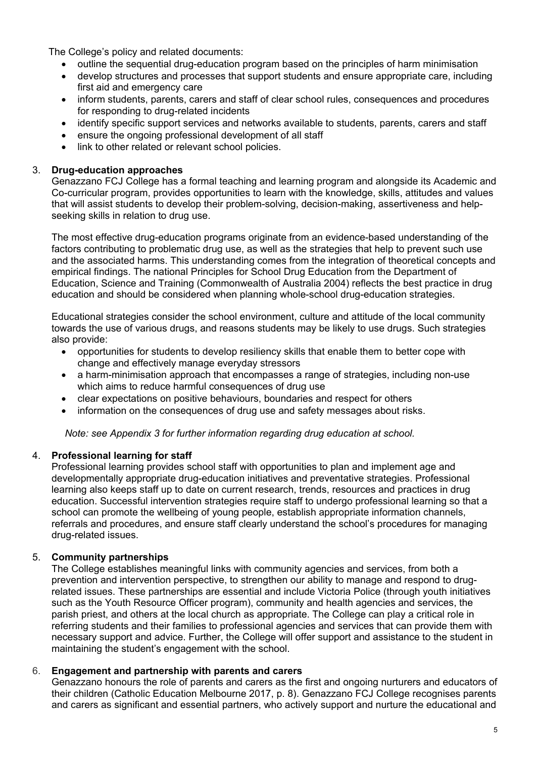The College's policy and related documents:

- outline the sequential drug-education program based on the principles of harm minimisation
- develop structures and processes that support students and ensure appropriate care, including first aid and emergency care
- inform students, parents, carers and staff of clear school rules, consequences and procedures for responding to drug-related incidents
- identify specific support services and networks available to students, parents, carers and staff
- ensure the ongoing professional development of all staff
- link to other related or relevant school policies.

#### 3. **Drug-education approaches**

Genazzano FCJ College has a formal teaching and learning program and alongside its Academic and Co-curricular program, provides opportunities to learn with the knowledge, skills, attitudes and values that will assist students to develop their problem-solving, decision-making, assertiveness and helpseeking skills in relation to drug use.

The most effective drug-education programs originate from an evidence-based understanding of the factors contributing to problematic drug use, as well as the strategies that help to prevent such use and the associated harms. This understanding comes from the integration of theoretical concepts and empirical findings. The national [Principles for School Drug Education](http://apo.org.au/system/files/33720/apo-nid33720-7796.pdf) from the Department of Education, Science and Training (Commonwealth of Australia 2004) reflects the best practice in drug education and should be considered when planning whole-school drug-education strategies.

Educational strategies consider the school environment, culture and attitude of the local community towards the use of various drugs, and reasons students may be likely to use drugs. Such strategies also provide:

- opportunities for students to develop resiliency skills that enable them to better cope with change and effectively manage everyday stressors
- a harm-minimisation approach that encompasses a range of strategies, including non-use which aims to reduce harmful consequences of drug use
- clear expectations on positive behaviours, boundaries and respect for others
- information on the consequences of drug use and safety messages about risks.

*Note: see [Appendix 3](https://www.cem.edu.au/CatholicEducationMelbourne/media/About-Us/Policies/2.13%20Drug%20Issues%20in%20Catholic%20Schools/2-13_Drug-issues-in-Catholic-schools-Appendix-3.pdf) for further information regarding drug education at school.*

#### 4. **Professional learning for staff**

Professional learning provides school staff with opportunities to plan and implement age and developmentally appropriate drug-education initiatives and preventative strategies. Professional learning also keeps staff up to date on current research, trends, resources and practices in drug education. Successful intervention strategies require staff to undergo professional learning so that a school can promote the wellbeing of young people, establish appropriate information channels, referrals and procedures, and ensure staff clearly understand the school's procedures for managing drug-related issues.

#### 5. **Community partnerships**

The College establishes meaningful links with community agencies and services, from both a prevention and intervention perspective, to strengthen our ability to manage and respond to drugrelated issues. These partnerships are essential and include Victoria Police (through youth initiatives such as the Youth Resource Officer program), community and health agencies and services, the parish priest, and others at the local church as appropriate. The College can play a critical role in referring students and their families to professional agencies and services that can provide them with necessary support and advice. Further, the College will offer support and assistance to the student in maintaining the student's engagement with the school.

#### 6. **Engagement and partnership with parents and carers**

Genazzano honours the role of parents and carers as the first and ongoing nurturers and educators of their children (Catholic Education Melbourne 2017, p. 8). Genazzano FCJ College recognises parents and carers as significant and essential partners, who actively support and nurture the educational and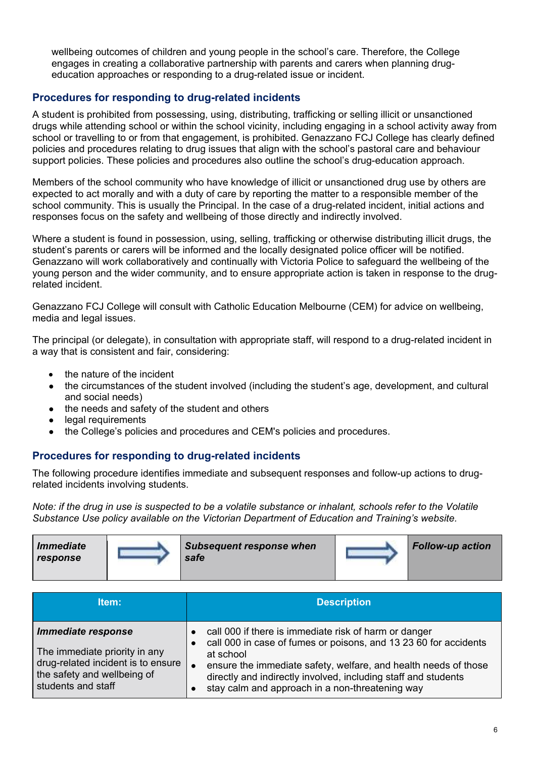wellbeing outcomes of children and young people in the school's care. Therefore, the College engages in creating a collaborative partnership with parents and carers when planning drugeducation approaches or responding to a drug-related issue or incident.

# **Procedures for responding to drug-related incidents**

A student is prohibited from possessing, using, distributing, trafficking or selling illicit or unsanctioned drugs while attending school or within the school vicinity, including engaging in a school activity away from school or travelling to or from that engagement, is prohibited. Genazzano FCJ College has clearly defined policies and procedures relating to drug issues that align with the school's pastoral care and behaviour support policies. These policies and procedures also outline the school's drug-education approach.

Members of the school community who have knowledge of illicit or unsanctioned drug use by others are expected to act morally and with a duty of care by reporting the matter to a responsible member of the school community. This is usually the Principal. In the case of a drug-related incident, initial actions and responses focus on the safety and wellbeing of those directly and indirectly involved.

Where a student is found in possession, using, selling, trafficking or otherwise distributing illicit drugs, the student's parents or carers will be informed and the locally designated police officer will be notified. Genazzano will work collaboratively and continually with Victoria Police to safeguard the wellbeing of the young person and the wider community, and to ensure appropriate action is taken in response to the drugrelated incident.

Genazzano FCJ College will consult with Catholic Education Melbourne (CEM) for advice on wellbeing, media and legal issues.

The principal (or delegate), in consultation with appropriate staff, will respond to a drug-related incident in a way that is consistent and fair, considering:

- the nature of the incident
- the circumstances of the student involved (including the student's age, development, and cultural and social needs)
- the needs and safety of the student and others
- legal requirements
- the College's policies and procedures and CEM's policies and procedures.

# **Procedures for responding to drug-related incidents**

The following procedure identifies immediate and subsequent responses and follow-up actions to drugrelated incidents involving students.

*Note: if the drug in use is suspected to be a volatile substance or inhalant, schools refer to the [Volatile](https://www.education.vic.gov.au/school/principals/spag/safety/Pages/substance.aspx)  [Substance Use](https://www.education.vic.gov.au/school/principals/spag/safety/Pages/substance.aspx) policy available on the Victorian Department of Education and Training's website.*

| <i><b>Immediate</b></i><br>response | <b>Subsequent response when</b><br>safe | <b>Follow-up action</b> |
|-------------------------------------|-----------------------------------------|-------------------------|
|                                     |                                         |                         |

| ltem:                                                                                                                                          | <b>Description</b>                                                                                                                                                                                                                                                                                                                          |
|------------------------------------------------------------------------------------------------------------------------------------------------|---------------------------------------------------------------------------------------------------------------------------------------------------------------------------------------------------------------------------------------------------------------------------------------------------------------------------------------------|
| Immediate response<br>The immediate priority in any<br>drug-related incident is to ensure<br>the safety and wellbeing of<br>students and staff | call 000 if there is immediate risk of harm or danger<br>$\bullet$<br>call 000 in case of fumes or poisons, and 13 23 60 for accidents<br>at school<br>ensure the immediate safety, welfare, and health needs of those<br>directly and indirectly involved, including staff and students<br>stay calm and approach in a non-threatening way |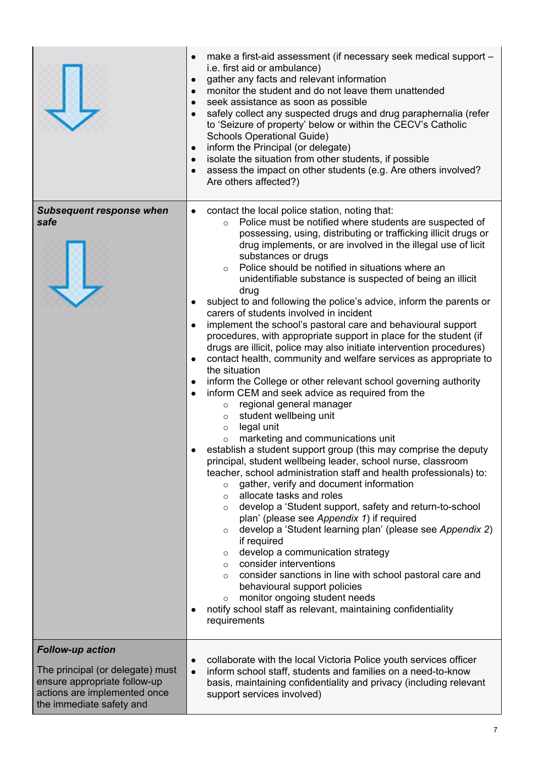|                                                                                                                                                         | make a first-aid assessment (if necessary seek medical support -<br>$\bullet$<br>i.e. first aid or ambulance)<br>gather any facts and relevant information<br>$\bullet$<br>monitor the student and do not leave them unattended<br>$\bullet$<br>seek assistance as soon as possible<br>$\bullet$<br>safely collect any suspected drugs and drug paraphernalia (refer<br>$\bullet$<br>to 'Seizure of property' below or within the CECV's Catholic<br><b>Schools Operational Guide)</b><br>inform the Principal (or delegate)<br>$\bullet$<br>isolate the situation from other students, if possible<br>$\bullet$<br>assess the impact on other students (e.g. Are others involved?<br>$\bullet$<br>Are others affected?)                                                                                                                                                                                                                                                                                                                                                                                                                                                                                                                                                                                                                                                                                                                                                                                                                                                                                                                                                                                                                                                                                                                                                                                                                                                                                                                            |
|---------------------------------------------------------------------------------------------------------------------------------------------------------|-----------------------------------------------------------------------------------------------------------------------------------------------------------------------------------------------------------------------------------------------------------------------------------------------------------------------------------------------------------------------------------------------------------------------------------------------------------------------------------------------------------------------------------------------------------------------------------------------------------------------------------------------------------------------------------------------------------------------------------------------------------------------------------------------------------------------------------------------------------------------------------------------------------------------------------------------------------------------------------------------------------------------------------------------------------------------------------------------------------------------------------------------------------------------------------------------------------------------------------------------------------------------------------------------------------------------------------------------------------------------------------------------------------------------------------------------------------------------------------------------------------------------------------------------------------------------------------------------------------------------------------------------------------------------------------------------------------------------------------------------------------------------------------------------------------------------------------------------------------------------------------------------------------------------------------------------------------------------------------------------------------------------------------------------------|
| <b>Subsequent response when</b><br>safe                                                                                                                 | contact the local police station, noting that:<br>$\bullet$<br>Police must be notified where students are suspected of<br>$\circ$<br>possessing, using, distributing or trafficking illicit drugs or<br>drug implements, or are involved in the illegal use of licit<br>substances or drugs<br>Police should be notified in situations where an<br>$\circ$<br>unidentifiable substance is suspected of being an illicit<br>drug<br>subject to and following the police's advice, inform the parents or<br>$\bullet$<br>carers of students involved in incident<br>implement the school's pastoral care and behavioural support<br>$\bullet$<br>procedures, with appropriate support in place for the student (if<br>drugs are illicit, police may also initiate intervention procedures)<br>contact health, community and welfare services as appropriate to<br>$\bullet$<br>the situation<br>inform the College or other relevant school governing authority<br>$\bullet$<br>inform CEM and seek advice as required from the<br>$\bullet$<br>regional general manager<br>$\circ$<br>student wellbeing unit<br>$\circ$<br>legal unit<br>$\circ$<br>marketing and communications unit<br>$\circ$<br>establish a student support group (this may comprise the deputy<br>principal, student wellbeing leader, school nurse, classroom<br>teacher, school administration staff and health professionals) to:<br>gather, verify and document information<br>$\circ$<br>allocate tasks and roles<br>$\circ$<br>develop a 'Student support, safety and return-to-school<br>$\circ$<br>plan' (please see Appendix 1) if required<br>develop a 'Student learning plan' (please see Appendix 2)<br>$\circ$<br>if required<br>develop a communication strategy<br>$\circ$<br>consider interventions<br>$\circ$<br>consider sanctions in line with school pastoral care and<br>$\circ$<br>behavioural support policies<br>monitor ongoing student needs<br>$\circ$<br>notify school staff as relevant, maintaining confidentiality<br>$\bullet$<br>requirements |
| <b>Follow-up action</b><br>The principal (or delegate) must<br>ensure appropriate follow-up<br>actions are implemented once<br>the immediate safety and | collaborate with the local Victoria Police youth services officer<br>$\bullet$<br>inform school staff, students and families on a need-to-know<br>$\bullet$<br>basis, maintaining confidentiality and privacy (including relevant<br>support services involved)                                                                                                                                                                                                                                                                                                                                                                                                                                                                                                                                                                                                                                                                                                                                                                                                                                                                                                                                                                                                                                                                                                                                                                                                                                                                                                                                                                                                                                                                                                                                                                                                                                                                                                                                                                                     |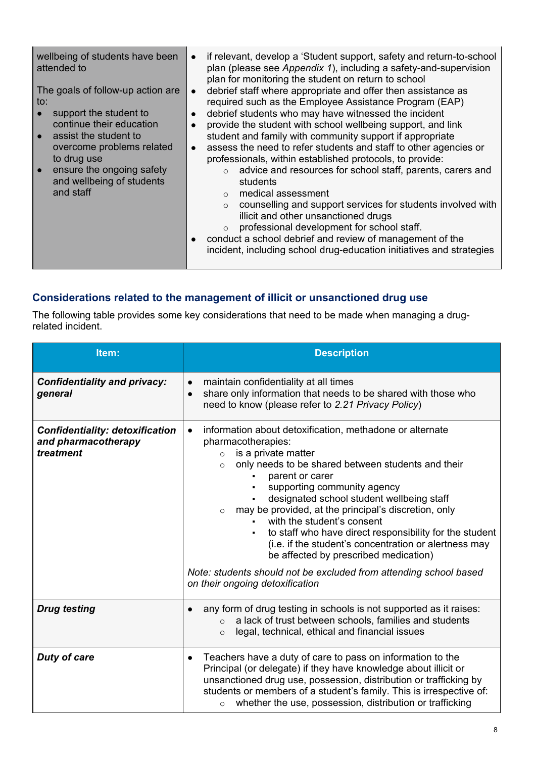| wellbeing of students have been<br>attended to<br>The goals of follow-up action are<br>to:<br>support the student to<br>continue their education<br>assist the student to<br>overcome problems related<br>to drug use<br>ensure the ongoing safety<br>and wellbeing of students<br>and staff | if relevant, develop a 'Student support, safety and return-to-school<br>plan (please see Appendix 1), including a safety-and-supervision<br>plan for monitoring the student on return to school<br>debrief staff where appropriate and offer then assistance as<br>required such as the Employee Assistance Program (EAP)<br>debrief students who may have witnessed the incident<br>provide the student with school wellbeing support, and link<br>student and family with community support if appropriate<br>assess the need to refer students and staff to other agencies or<br>professionals, within established protocols, to provide:<br>advice and resources for school staff, parents, carers and<br>$\circ$<br>students<br>medical assessment<br>counselling and support services for students involved with<br>$\circ$<br>illicit and other unsanctioned drugs<br>professional development for school staff.<br>$\circ$<br>conduct a school debrief and review of management of the<br>incident, including school drug-education initiatives and strategies |
|----------------------------------------------------------------------------------------------------------------------------------------------------------------------------------------------------------------------------------------------------------------------------------------------|------------------------------------------------------------------------------------------------------------------------------------------------------------------------------------------------------------------------------------------------------------------------------------------------------------------------------------------------------------------------------------------------------------------------------------------------------------------------------------------------------------------------------------------------------------------------------------------------------------------------------------------------------------------------------------------------------------------------------------------------------------------------------------------------------------------------------------------------------------------------------------------------------------------------------------------------------------------------------------------------------------------------------------------------------------------------|
|----------------------------------------------------------------------------------------------------------------------------------------------------------------------------------------------------------------------------------------------------------------------------------------------|------------------------------------------------------------------------------------------------------------------------------------------------------------------------------------------------------------------------------------------------------------------------------------------------------------------------------------------------------------------------------------------------------------------------------------------------------------------------------------------------------------------------------------------------------------------------------------------------------------------------------------------------------------------------------------------------------------------------------------------------------------------------------------------------------------------------------------------------------------------------------------------------------------------------------------------------------------------------------------------------------------------------------------------------------------------------|

# **Considerations related to the management of illicit or unsanctioned drug use**

The following table provides some key considerations that need to be made when managing a drugrelated incident.

| Item:                                                                      | <b>Description</b>                                                                                                                                                                                                                                                                                                                                                                                                                                                                                                                                                    |  |
|----------------------------------------------------------------------------|-----------------------------------------------------------------------------------------------------------------------------------------------------------------------------------------------------------------------------------------------------------------------------------------------------------------------------------------------------------------------------------------------------------------------------------------------------------------------------------------------------------------------------------------------------------------------|--|
| <b>Confidentiality and privacy:</b><br>general                             | maintain confidentiality at all times<br>share only information that needs to be shared with those who<br>$\bullet$<br>need to know (please refer to 2.21 Privacy Policy)                                                                                                                                                                                                                                                                                                                                                                                             |  |
| <b>Confidentiality: detoxification</b><br>and pharmacotherapy<br>treatment | information about detoxification, methadone or alternate<br>$\bullet$<br>pharmacotherapies:<br>is a private matter<br>$\circ$<br>only needs to be shared between students and their<br>$\circ$<br>parent or carer<br>supporting community agency<br>٠<br>designated school student wellbeing staff<br>may be provided, at the principal's discretion, only<br>$\circ$<br>with the student's consent<br>to staff who have direct responsibility for the student<br>٠<br>(i.e. if the student's concentration or alertness may<br>be affected by prescribed medication) |  |
|                                                                            | Note: students should not be excluded from attending school based<br>on their ongoing detoxification                                                                                                                                                                                                                                                                                                                                                                                                                                                                  |  |
| <b>Drug testing</b>                                                        | any form of drug testing in schools is not supported as it raises:<br>a lack of trust between schools, families and students<br>$\Omega$<br>legal, technical, ethical and financial issues<br>$\circ$                                                                                                                                                                                                                                                                                                                                                                 |  |
| <b>Duty of care</b>                                                        | Teachers have a duty of care to pass on information to the<br>Principal (or delegate) if they have knowledge about illicit or<br>unsanctioned drug use, possession, distribution or trafficking by<br>students or members of a student's family. This is irrespective of:<br>whether the use, possession, distribution or trafficking                                                                                                                                                                                                                                 |  |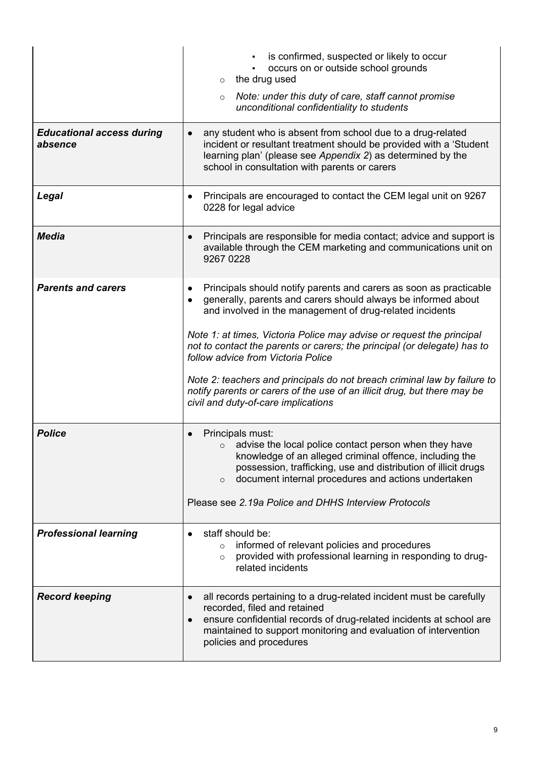|                                             | is confirmed, suspected or likely to occur<br>occurs on or outside school grounds<br>the drug used<br>$\circ$                                                                                                                                                                       |
|---------------------------------------------|-------------------------------------------------------------------------------------------------------------------------------------------------------------------------------------------------------------------------------------------------------------------------------------|
|                                             | Note: under this duty of care, staff cannot promise<br>$\circ$<br>unconditional confidentiality to students                                                                                                                                                                         |
| <b>Educational access during</b><br>absence | any student who is absent from school due to a drug-related<br>incident or resultant treatment should be provided with a 'Student<br>learning plan' (please see Appendix 2) as determined by the<br>school in consultation with parents or carers                                   |
| Legal                                       | Principals are encouraged to contact the CEM legal unit on 9267<br>$\bullet$<br>0228 for legal advice                                                                                                                                                                               |
| <b>Media</b>                                | Principals are responsible for media contact; advice and support is<br>$\bullet$<br>available through the CEM marketing and communications unit on<br>9267 0228                                                                                                                     |
| <b>Parents and carers</b>                   | Principals should notify parents and carers as soon as practicable<br>$\bullet$<br>generally, parents and carers should always be informed about<br>and involved in the management of drug-related incidents                                                                        |
|                                             | Note 1: at times, Victoria Police may advise or request the principal<br>not to contact the parents or carers; the principal (or delegate) has to<br>follow advice from Victoria Police                                                                                             |
|                                             | Note 2: teachers and principals do not breach criminal law by failure to<br>notify parents or carers of the use of an illicit drug, but there may be<br>civil and duty-of-care implications                                                                                         |
| <b>Police</b>                               | Principals must:<br>advise the local police contact person when they have<br>$\circ$<br>knowledge of an alleged criminal offence, including the<br>possession, trafficking, use and distribution of illicit drugs<br>document internal procedures and actions undertaken<br>$\circ$ |
|                                             | Please see 2.19a Police and DHHS Interview Protocols                                                                                                                                                                                                                                |
| <b>Professional learning</b>                | staff should be:<br>informed of relevant policies and procedures<br>$\circ$<br>provided with professional learning in responding to drug-<br>$\circ$<br>related incidents                                                                                                           |
| <b>Record keeping</b>                       | all records pertaining to a drug-related incident must be carefully<br>recorded, filed and retained<br>ensure confidential records of drug-related incidents at school are<br>maintained to support monitoring and evaluation of intervention<br>policies and procedures            |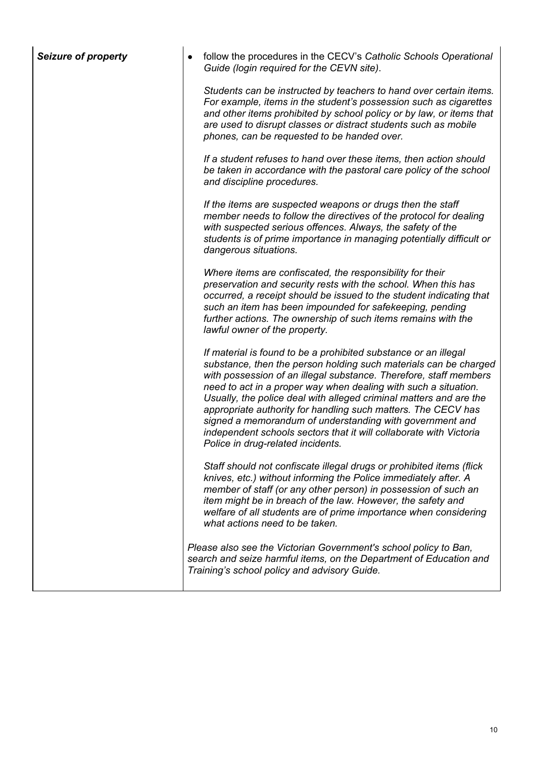| <b>Seizure of property</b> | follow the procedures in the CECV's Catholic Schools Operational<br>Guide (login required for the CEVN site).                                                                                                                                                                                                                                                                                                                                                                                                                                                                             |
|----------------------------|-------------------------------------------------------------------------------------------------------------------------------------------------------------------------------------------------------------------------------------------------------------------------------------------------------------------------------------------------------------------------------------------------------------------------------------------------------------------------------------------------------------------------------------------------------------------------------------------|
|                            | Students can be instructed by teachers to hand over certain items.<br>For example, items in the student's possession such as cigarettes<br>and other items prohibited by school policy or by law, or items that<br>are used to disrupt classes or distract students such as mobile<br>phones, can be requested to be handed over.                                                                                                                                                                                                                                                         |
|                            | If a student refuses to hand over these items, then action should<br>be taken in accordance with the pastoral care policy of the school<br>and discipline procedures.                                                                                                                                                                                                                                                                                                                                                                                                                     |
|                            | If the items are suspected weapons or drugs then the staff<br>member needs to follow the directives of the protocol for dealing<br>with suspected serious offences. Always, the safety of the<br>students is of prime importance in managing potentially difficult or<br>dangerous situations.                                                                                                                                                                                                                                                                                            |
|                            | Where items are confiscated, the responsibility for their<br>preservation and security rests with the school. When this has<br>occurred, a receipt should be issued to the student indicating that<br>such an item has been impounded for safekeeping, pending<br>further actions. The ownership of such items remains with the<br>lawful owner of the property.                                                                                                                                                                                                                          |
|                            | If material is found to be a prohibited substance or an illegal<br>substance, then the person holding such materials can be charged<br>with possession of an illegal substance. Therefore, staff members<br>need to act in a proper way when dealing with such a situation.<br>Usually, the police deal with alleged criminal matters and are the<br>appropriate authority for handling such matters. The CECV has<br>signed a memorandum of understanding with government and<br>independent schools sectors that it will collaborate with Victoria<br>Police in drug-related incidents. |
|                            | Staff should not confiscate illegal drugs or prohibited items (flick<br>knives, etc.) without informing the Police immediately after. A<br>member of staff (or any other person) in possession of such an<br>item might be in breach of the law. However, the safety and<br>welfare of all students are of prime importance when considering<br>what actions need to be taken.                                                                                                                                                                                                            |
|                            | Please also see the Victorian Government's school policy to Ban,<br>search and seize harmful items, on the Department of Education and<br>Training's school policy and advisory Guide.                                                                                                                                                                                                                                                                                                                                                                                                    |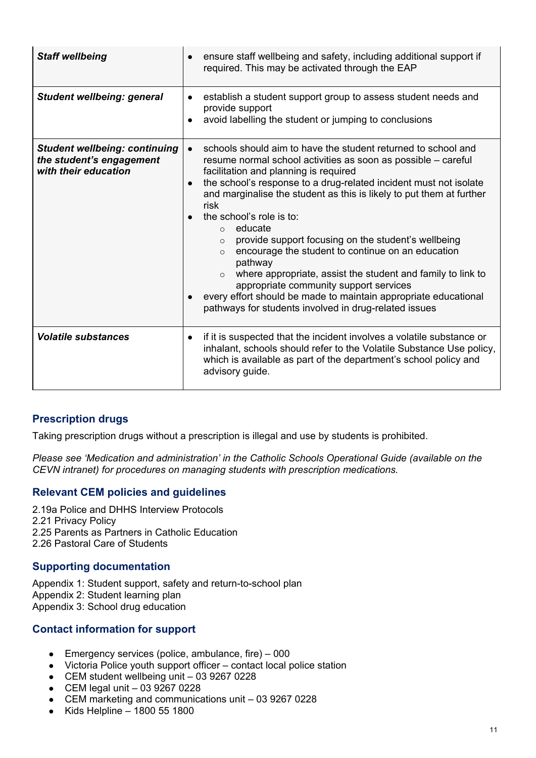| <b>Staff wellbeing</b>                                                                   | ensure staff wellbeing and safety, including additional support if<br>required. This may be activated through the EAP                                                                                                                                                                                                                                                                                                                                                                                                                                                                                                                                                                                                                                                                    |
|------------------------------------------------------------------------------------------|------------------------------------------------------------------------------------------------------------------------------------------------------------------------------------------------------------------------------------------------------------------------------------------------------------------------------------------------------------------------------------------------------------------------------------------------------------------------------------------------------------------------------------------------------------------------------------------------------------------------------------------------------------------------------------------------------------------------------------------------------------------------------------------|
| <b>Student wellbeing: general</b>                                                        | establish a student support group to assess student needs and<br>$\bullet$<br>provide support<br>avoid labelling the student or jumping to conclusions                                                                                                                                                                                                                                                                                                                                                                                                                                                                                                                                                                                                                                   |
| <b>Student wellbeing: continuing</b><br>the student's engagement<br>with their education | schools should aim to have the student returned to school and<br>$\bullet$<br>resume normal school activities as soon as possible – careful<br>facilitation and planning is required<br>the school's response to a drug-related incident must not isolate<br>and marginalise the student as this is likely to put them at further<br>risk<br>the school's role is to:<br>$\circ$ educate<br>provide support focusing on the student's wellbeing<br>$\Omega$<br>encourage the student to continue on an education<br>$\Omega$<br>pathway<br>where appropriate, assist the student and family to link to<br>$\Omega$<br>appropriate community support services<br>every effort should be made to maintain appropriate educational<br>pathways for students involved in drug-related issues |
| <b>Volatile substances</b>                                                               | if it is suspected that the incident involves a volatile substance or<br>inhalant, schools should refer to the Volatile Substance Use policy,<br>which is available as part of the department's school policy and<br>advisory guide.                                                                                                                                                                                                                                                                                                                                                                                                                                                                                                                                                     |

# **Prescription drugs**

Taking prescription drugs without a prescription is illegal and use by students is prohibited.

*Please see 'Medication and administration' in the [Catholic Schools Operational Guide](https://cevn.cecv.catholic.edu.au/Melb/Document-File/CSOG/Index/Catholic-Schools-Operation-Guide.pdf) (available on the CEVN intranet) for procedures on managing students with prescription medications.*

## **Relevant CEM policies and guidelines**

[2.19a Police and DHHS Interview Protocols](https://www.cem.edu.au/About-Us/Policies/Police-and-DHHS-Interview-Protocols.aspx) [2.21 Privacy Policy](https://www.cem.edu.au/About-Us/Policies/Privacy-Policy.aspx) [2.25 Parents as Partners in Catholic Education](https://www.cem.edu.au/About-Us/Policies/2-25-Parents-as-Partners.aspx) [2.26 Pastoral Care of Students](https://www.cem.edu.au/About-Us/Policies/Pastoral-Care-of-Students.aspx)

#### **Supporting documentation**

[Appendix 1: Student support, safety and return-to-school plan](https://www.cem.edu.au/CatholicEducationMelbourne/media/About-Us/Policies/2.13%20Drug%20Issues%20in%20Catholic%20Schools/2-13_Drug-issues-in-Catholic-schools-Appendix-1.pdf) [Appendix 2: Student learning plan](https://www.cem.edu.au/CatholicEducationMelbourne/media/About-Us/Policies/2.13%20Drug%20Issues%20in%20Catholic%20Schools/2-13_Drug-issues-in-Catholic-schools-Appendix-2.pdf) [Appendix 3: School drug education](https://www.cem.edu.au/CatholicEducationMelbourne/media/About-Us/Policies/2.13%20Drug%20Issues%20in%20Catholic%20Schools/2-13_Drug-issues-in-Catholic-schools-Appendix-3.pdf)

## **Contact information for support**

- **•** Emergency services (police, ambulance, fire)  $-000$
- Victoria Police youth support officer contact local police station
- CEM student wellbeing unit 03 9267 0228
- $\bullet$  CEM legal unit  $-0392670228$
- CEM marketing and communications unit 03 9267 0228
- $\bullet$  Kids Helpline 1800 55 1800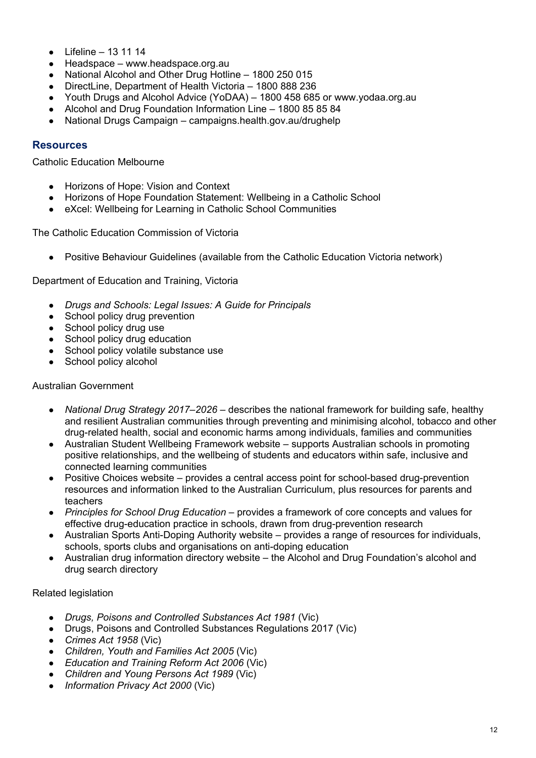- Lifeline  $13 11 14$
- Headspace [www.headspace.org.au](https://headspace.org.au/)
- National Alcohol and Other Drug Hotline 1800 250 015
- DirectLine, Department of Health Victoria 1800 888 236
- Youth Drugs and Alcohol Advice (YoDAA) 1800 458 685 or [www.yodaa.org.au](http://www.yodaa.org.au/)
- Alcohol and Drug Foundation Information Line 1800 85 85 84
- National Drugs Campaign [campaigns.health.gov.au/drughelp](https://campaigns.health.gov.au/drughelp)

#### **Resources**

Catholic Education Melbourne

- [Horizons of Hope: Vision and Context](https://www.cem.edu.au/CatholicEducationMelbourne/media/Documentation/HoH%20Documents/HoH-vision-context.pdf)
- [Horizons of Hope Foundation Statement: Wellbeing in a Catholic School](https://www.cem.edu.au/CatholicEducationMelbourne/media/Documentation/Documents/HoH-Wellbeing.pdf)
- [eXcel: Wellbeing for Learning in Catholic School Communities](https://www.cem.edu.au/CatholicEducationMelbourne/media/Documentation/Documents/eXcel-Wellbeing-for-learning_Guide_May-2018_CEM.pdf)

The Catholic Education Commission of Victoria

● [Positive Behaviour Guidelines](http://www.cecv.catholic.edu.au/getmedia/bc1d235d-9a98-4bb4-b3ac-84b50fa7c639/CECV-Positive-Behaviour-Guidelines_FINAL2.aspx?ext=.pdf) (available from the Catholic Education Victoria network)

Department of Education and Training, Victoria

- *[Drugs and Schools: Legal Issues: A Guide for Principals](https://www.education.vic.gov.au/Documents/school/principals/spag/safety/drugschoollegalissue%202009.pdf)*
- School [policy drug prevention](https://www.education.vic.gov.au/school/principals/spag/safety/pages/drugprevention.aspx)
- [School policy drug use](https://www.education.vic.gov.au/school/principals/spag/safety/Pages/druguse.aspx)
- [School policy drug education](https://www.education.vic.gov.au/school/teachers/teachingresources/discipline/physed/Pages/drugeducation.aspx)
- [School policy volatile substance use](https://www.education.vic.gov.au/school/principals/spag/safety/Pages/substance.aspx)
- [School policy alcohol](https://www.education.vic.gov.au/school/principals/spag/safety/pages/alcohol.aspx)

#### Australian Government

- *[National Drug Strategy 2017–2026](https://www.health.gov.au/resources/publications/national-drug-strategy-2017-2026)* describes the national framework for building safe, healthy and resilient Australian communities through preventing and minimising alcohol, tobacco and other drug-related health, social and economic harms among individuals, families and communities
- [Australian Student Wellbeing Framework website](https://www.studentwellbeinghub.edu.au/educators/australian-student-wellbeing-framework#/) supports Australian schools in promoting positive relationships, and the wellbeing of students and educators within safe, inclusive and connected learning communities
- [Positive Choices website](https://positivechoices.org.au/) provides a central access point for school-based drug-prevention resources and information linked to the Australian Curriculum, plus resources for parents and teachers
- *[Principles for School Drug Education](http://apo.org.au/node/33720)* provides a framework of core concepts and values for effective drug-education practice in schools, drawn from drug-prevention research
- [Australian Sports Anti-Doping Authority website](https://www.asada.gov.au/anti-doping-programmes/education) provides a range of resources for individuals, schools, sports clubs and organisations on anti-doping education
- [Australian drug information directory website](http://www.adin.com.au/) the Alcohol and Drug Foundation's alcohol and drug search directory

#### Related legislation

- *Drugs, Poisons and Controlled Substances Act 1981* (Vic)
- Drugs, Poisons and Controlled Substances Regulations 2017 (Vic)
- *Crimes Act 1958* (Vic)
- *Children, Youth and Families Act 2005* (Vic)
- *Education and Training Reform Act 2006* (Vic)
- *Children and Young Persons Act 1989* (Vic)
- *Information Privacy Act 2000* (Vic)